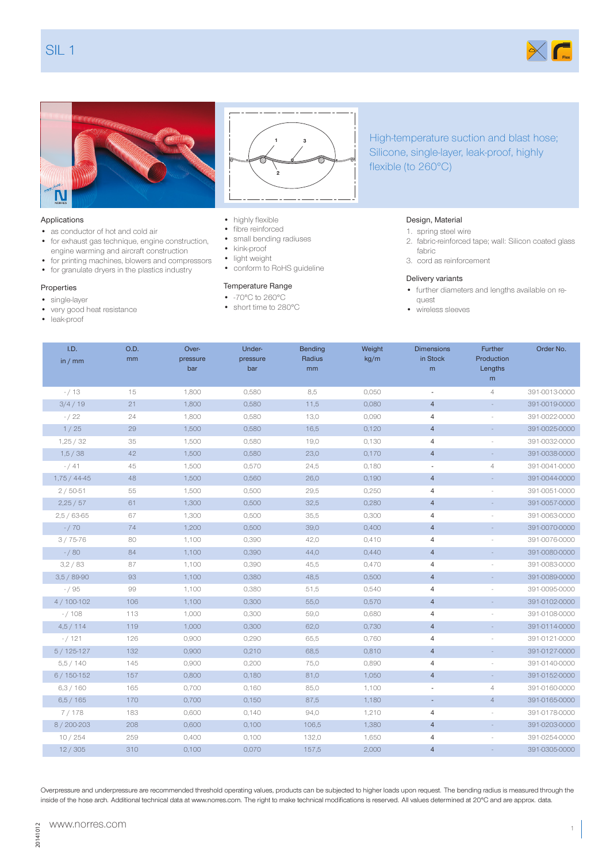Г

# Applications

- as conductor of hot and cold air
- for exhaust gas technique, engine construction, engine warming and aircraft construction
- for printing machines, blowers and compressors

O.D. mm

Overpressure

• for granulate dryers in the plastics industry

### Properties

N

- single-layer
- very good heat resistance
- leak-proof

F

I.D. in / mm



- fibre reinforced
- small bending radiuses
- kink-proof
- light weight
- conform to RoHS guideline

### Temperature Range

Underpressure

- -70°C to 260°C
- short time to 280°C

# Silicone, single-layer, leak-proof, highly flexible (to 260°C)

High-temperature suction and blast hose;

#### Design, Material

- 1. spring steel wire
- 2. fabric-reinforced tape; wall: Silicon coated glass fabric
- 3. cord as reinforcement

#### Delivery variants

• further diameters and lengths available on request

> Further Production

Order No.

• wireless sleeves

Dimensions in Stock

|              |     | bar   | bar   | mm    |       | m                        | Lengths<br>m   |               |
|--------------|-----|-------|-------|-------|-------|--------------------------|----------------|---------------|
| $- / 13$     | 15  | 1,800 | 0,580 | 8,5   | 0,050 | $\overline{\phantom{a}}$ | $\overline{4}$ | 391-0013-0000 |
| 3/4/19       | 21  | 1,800 | 0,580 | 11,5  | 0,080 | $\overline{4}$           |                | 391-0019-0000 |
| $- / 22$     | 24  | 1,800 | 0,580 | 13,0  | 0,090 | $\overline{4}$           |                | 391-0022-0000 |
| 1/25         | 29  | 1,500 | 0,580 | 16,5  | 0,120 | $\overline{4}$           | $\sim$         | 391-0025-0000 |
| 1,25/32      | 35  | 1,500 | 0,580 | 19,0  | 0,130 | 4                        | ÷.             | 391-0032-0000 |
| 1,5/38       | 42  | 1,500 | 0,580 | 23,0  | 0,170 | $\overline{4}$           | $\sim$         | 391-0038-0000 |
| $- / 41$     | 45  | 1,500 | 0,570 | 24,5  | 0,180 | $\overline{\phantom{a}}$ | 4              | 391-0041-0000 |
| $1,75/44-45$ | 48  | 1,500 | 0,560 | 26,0  | 0,190 | $\overline{4}$           |                | 391-0044-0000 |
| $2/50-51$    | 55  | 1,500 | 0,500 | 29,5  | 0,250 | 4                        |                | 391-0051-0000 |
| 2,25/57      | 61  | 1,300 | 0,500 | 32,5  | 0,280 | $\overline{4}$           | $\sim$         | 391-0057-0000 |
| $2,5/63-65$  | 67  | 1,300 | 0,500 | 35,5  | 0,300 | 4                        | ä,             | 391-0063-0000 |
| $- / 70$     | 74  | 1,200 | 0,500 | 39,0  | 0,400 | $\overline{4}$           |                | 391-0070-0000 |
| $3/75-76$    | 80  | 1,100 | 0,390 | 42,0  | 0,410 | 4                        |                | 391-0076-0000 |
| $- / 80$     | 84  | 1,100 | 0,390 | 44,0  | 0,440 | $\overline{4}$           |                | 391-0080-0000 |
| 3,2/83       | 87  | 1,100 | 0,390 | 45,5  | 0,470 | $\overline{4}$           |                | 391-0083-0000 |
| $3,5/89-90$  | 93  | 1,100 | 0,380 | 48,5  | 0,500 | $\overline{4}$           | $\omega$       | 391-0089-0000 |
| $- / 95$     | 99  | 1,100 | 0,380 | 51,5  | 0,540 | $\overline{4}$           | ÷              | 391-0095-0000 |
| $4/100-102$  | 106 | 1,100 | 0,300 | 55,0  | 0,570 | $\overline{4}$           |                | 391-0102-0000 |
| $-/108$      | 113 | 1,000 | 0,300 | 59,0  | 0,680 | $\sqrt{4}$               |                | 391-0108-0000 |
| 4,5/114      | 119 | 1,000 | 0,300 | 62,0  | 0,730 | $\overline{4}$           | $\omega$       | 391-0114-0000 |
| $- / 121$    | 126 | 0,900 | 0,290 | 65,5  | 0,760 | $\overline{4}$           |                | 391-0121-0000 |
| $5/125-127$  | 132 | 0,900 | 0,210 | 68,5  | 0,810 | $\overline{4}$           |                | 391-0127-0000 |
| 5,5/140      | 145 | 0,900 | 0,200 | 75,0  | 0,890 | $\overline{4}$           |                | 391-0140-0000 |
| $6/150-152$  | 157 | 0,800 | 0,180 | 81,0  | 1,050 | $\overline{4}$           | $\sim$         | 391-0152-0000 |
| 6,3/160      | 165 | 0,700 | 0,160 | 85,0  | 1,100 | $\overline{\phantom{a}}$ | $\overline{4}$ | 391-0160-0000 |
| 6,5/165      | 170 | 0,700 | 0,150 | 87,5  | 1,180 | $\overline{\phantom{a}}$ | $\overline{4}$ | 391-0165-0000 |
| 7/178        | 183 | 0,600 | 0,140 | 94,0  | 1,210 | 4                        |                | 391-0178-0000 |
| 8/200-203    | 208 | 0,600 | 0,100 | 106,5 | 1,380 | $\overline{4}$           | $\sim$         | 391-0203-0000 |
| 10/254       | 259 | 0,400 | 0,100 | 132,0 | 1,650 | $\overline{4}$           |                | 391-0254-0000 |
| 12/305       | 310 | 0,100 | 0,070 | 157,5 | 2,000 | $\overline{4}$           | $\sim$         | 391-0305-0000 |

Bending Radius

Weight kg/m